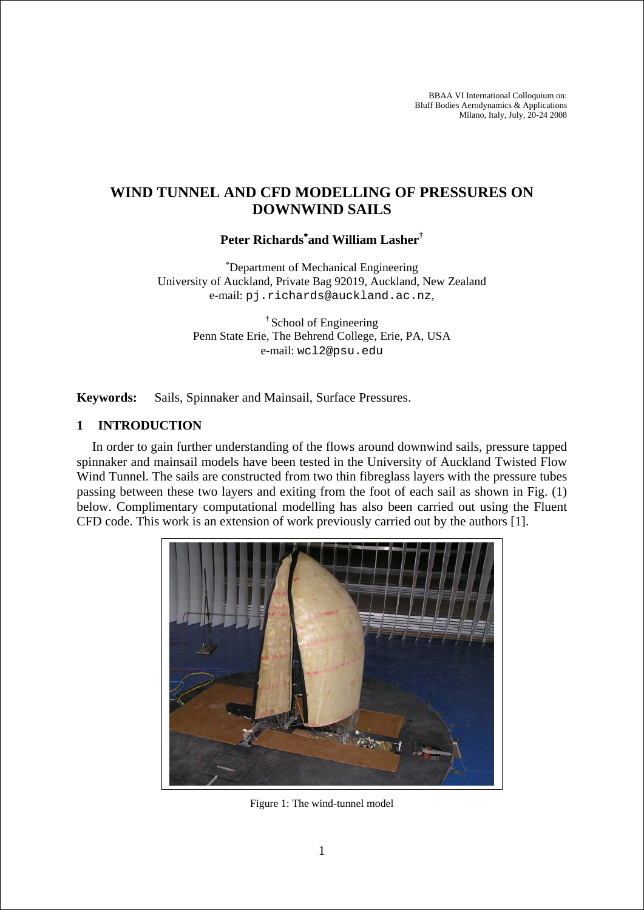BBAA VI International Colloquium on: Bluff Bodies Aerodynamics & Applications Milano, Italy, July, 20-24 2008

# **WIND TUNNEL AND CFD MODELLING OF PRESSURES ON DOWNWIND SAILS**

# **Peter Richards**<sup>∗</sup> **and William Lasher†**

∗ Department of Mechanical Engineering University of Auckland, Private Bag 92019, Auckland, New Zealand e-mail: pj.richards@auckland.ac.nz,

> † School of Engineering Penn State Erie, The Behrend College, Erie, PA, USA e-mail: wcl2@psu.edu

**Keywords:** Sails, Spinnaker and Mainsail, Surface Pressures.

#### **1 INTRODUCTION**

In order to gain further understanding of the flows around downwind sails, pressure tapped spinnaker and mainsail models have been tested in the University of Auckland Twisted Flow Wind Tunnel. The sails are constructed from two thin fibreglass layers with the pressure tubes passing between these two layers and exiting from the foot of each sail as shown in Fig. (1) below. Complimentary computational modelling has also been carried out using the Fluent CFD code. This work is an extension of work previously carried out by the authors [1].



Figure 1: The wind-tunnel model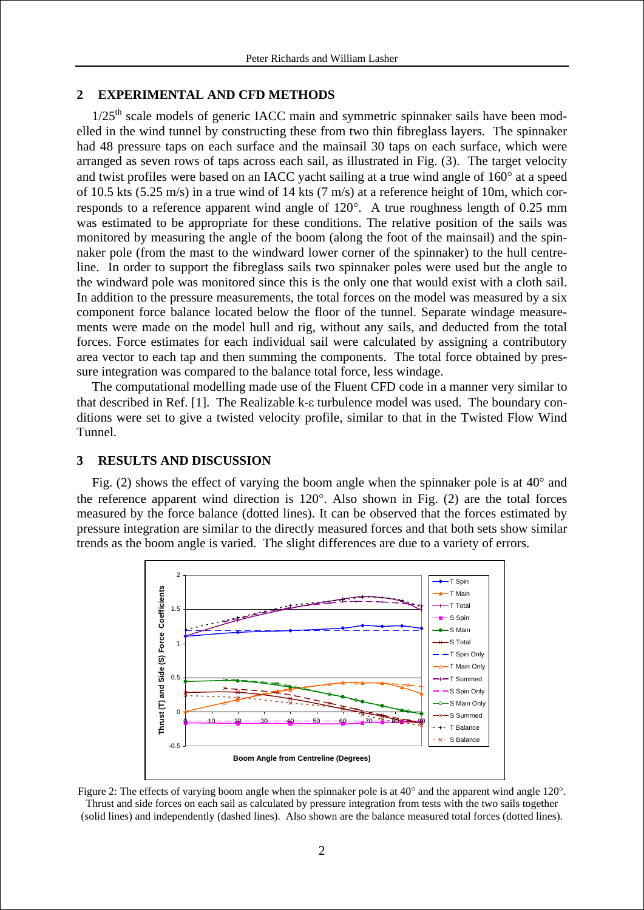#### **2 EXPERIMENTAL AND CFD METHODS**

 $1/25$ <sup>th</sup> scale models of generic IACC main and symmetric spinnaker sails have been modelled in the wind tunnel by constructing these from two thin fibreglass layers. The spinnaker had 48 pressure taps on each surface and the mainsail 30 taps on each surface, which were arranged as seven rows of taps across each sail, as illustrated in Fig. (3). The target velocity and twist profiles were based on an IACC yacht sailing at a true wind angle of 160° at a speed of 10.5 kts (5.25 m/s) in a true wind of 14 kts (7 m/s) at a reference height of 10m, which corresponds to a reference apparent wind angle of 120°. A true roughness length of 0.25 mm was estimated to be appropriate for these conditions. The relative position of the sails was monitored by measuring the angle of the boom (along the foot of the mainsail) and the spinnaker pole (from the mast to the windward lower corner of the spinnaker) to the hull centreline. In order to support the fibreglass sails two spinnaker poles were used but the angle to the windward pole was monitored since this is the only one that would exist with a cloth sail. In addition to the pressure measurements, the total forces on the model was measured by a six component force balance located below the floor of the tunnel. Separate windage measurements were made on the model hull and rig, without any sails, and deducted from the total forces. Force estimates for each individual sail were calculated by assigning a contributory area vector to each tap and then summing the components. The total force obtained by pressure integration was compared to the balance total force, less windage.

The computational modelling made use of the Fluent CFD code in a manner very similar to that described in Ref. [1]. The Realizable k-ε turbulence model was used. The boundary conditions were set to give a twisted velocity profile, similar to that in the Twisted Flow Wind Tunnel.

#### **3 RESULTS AND DISCUSSION**

Fig. (2) shows the effect of varying the boom angle when the spinnaker pole is at 40° and the reference apparent wind direction is 120°. Also shown in Fig. (2) are the total forces measured by the force balance (dotted lines). It can be observed that the forces estimated by pressure integration are similar to the directly measured forces and that both sets show similar trends as the boom angle is varied. The slight differences are due to a variety of errors.



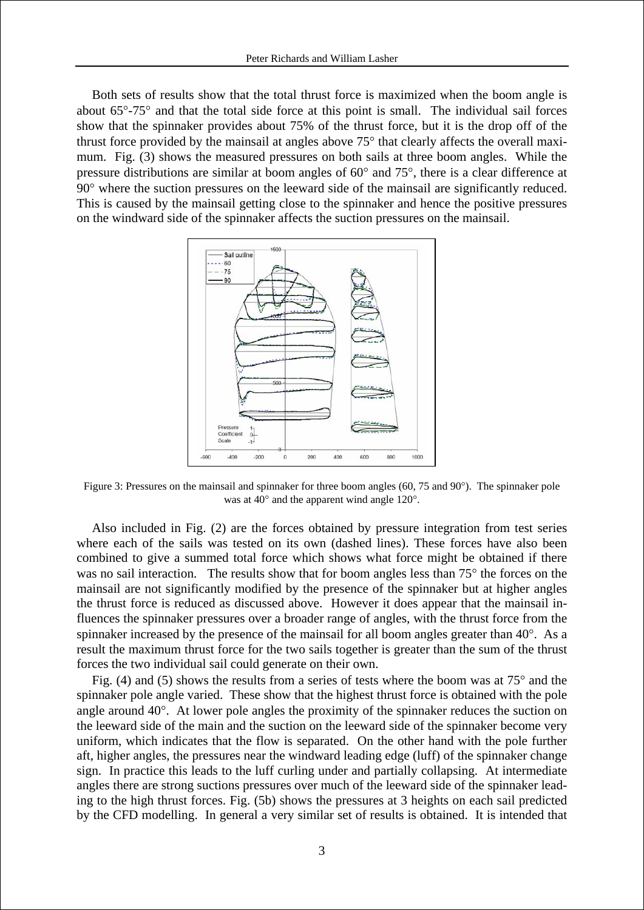Both sets of results show that the total thrust force is maximized when the boom angle is about 65°-75° and that the total side force at this point is small. The individual sail forces show that the spinnaker provides about 75% of the thrust force, but it is the drop off of the thrust force provided by the mainsail at angles above 75° that clearly affects the overall maximum. Fig. (3) shows the measured pressures on both sails at three boom angles. While the pressure distributions are similar at boom angles of 60° and 75°, there is a clear difference at 90° where the suction pressures on the leeward side of the mainsail are significantly reduced. This is caused by the mainsail getting close to the spinnaker and hence the positive pressures on the windward side of the spinnaker affects the suction pressures on the mainsail.



Figure 3: Pressures on the mainsail and spinnaker for three boom angles (60, 75 and 90°). The spinnaker pole was at 40° and the apparent wind angle 120°.

Also included in Fig. (2) are the forces obtained by pressure integration from test series where each of the sails was tested on its own (dashed lines). These forces have also been combined to give a summed total force which shows what force might be obtained if there was no sail interaction. The results show that for boom angles less than 75° the forces on the mainsail are not significantly modified by the presence of the spinnaker but at higher angles the thrust force is reduced as discussed above. However it does appear that the mainsail influences the spinnaker pressures over a broader range of angles, with the thrust force from the spinnaker increased by the presence of the mainsail for all boom angles greater than 40°. As a result the maximum thrust force for the two sails together is greater than the sum of the thrust forces the two individual sail could generate on their own.

Fig. (4) and (5) shows the results from a series of tests where the boom was at  $75^{\circ}$  and the spinnaker pole angle varied. These show that the highest thrust force is obtained with the pole angle around 40°. At lower pole angles the proximity of the spinnaker reduces the suction on the leeward side of the main and the suction on the leeward side of the spinnaker become very uniform, which indicates that the flow is separated. On the other hand with the pole further aft, higher angles, the pressures near the windward leading edge (luff) of the spinnaker change sign. In practice this leads to the luff curling under and partially collapsing. At intermediate angles there are strong suctions pressures over much of the leeward side of the spinnaker leading to the high thrust forces. Fig. (5b) shows the pressures at 3 heights on each sail predicted by the CFD modelling. In general a very similar set of results is obtained. It is intended that